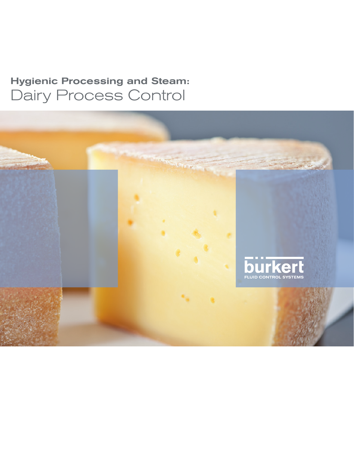### Hygienic Processing and Steam: Dairy Process Control

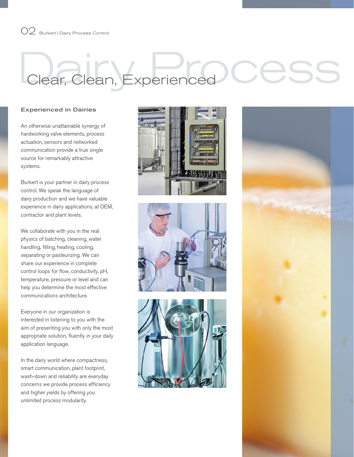### 02 Burkert | Dairy Process Control

## Clear, Clean, Experienced

#### Experienced in Dairies

An otherwise unattainable synergy of hardworking valve elements, process actuation, sensors and networked communication provide a true single source for remarkably attractive systems.

Burkert is your partner in dairy process control. We speak the language of dairy production and we have valuable experience in dairy applications, at OEM, contractor and plant levels.

We collaborate with you in the real physics of batching, cleaning, water handling, filling, heating, cooling, separating or pasteurizing. We can share our experience in complete control loops for flow, conductivity, pH, temperature, pressure or level and can help you determine the most effective communications architecture.

Everyone in our organization is interested in listening to you with the aim of presenting you with only the most appropriate solution, fluently in your daily application language.

In the dairy world where compactness, smart communication, plant footprint, wash-down and reliability are everyday concerns we provide process efficiency and higher yields by offering you unlimited process modularity.







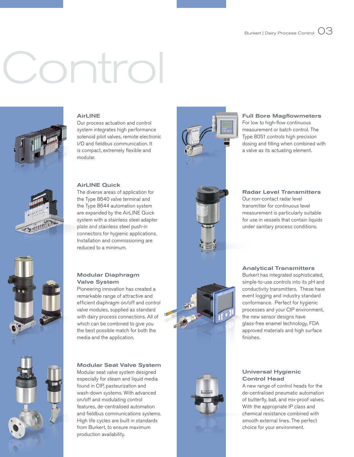# <u>Control</u>



#### AirLINE

Our process actuation and control system integrates high performance solenoid pilot valves, remote electronic I/O and fieldbus communication. It is compact, extremely flexible and modular.

#### AirLINE Quick

The diverse areas of application for the Type 8640 valve terminal and the Type 8644 automation system are expanded by the AirLINE Quick system with a stainless steel adapter plate and stainless steel push-in connectors for hygienic applications. Installation and commissioning are reduced to a minimum.

#### Modular Diaphragm Valve System

Pioneering innovation has created a remarkable range of attractive and efficient diaphragm on/off and control valve modules, supplied as standard with dairy process connections. All of which can be combined to give you the best possible match for both the media and the application.

#### Modular Seat Valve System Modular seat valve system designed especially for steam and liquid media

found in CIP, pasteurization and wash-down systems. With advanced on/off and modulating control features, de-centralised automation and fieldbus communications systems. High life cycles are built in standards from Burkert, to ensure maximum production availability.



#### Full Bore Magflowmeters

For low to high-flow continuous measurement or batch control. The Type 8051 controls high precision dosing and filling when combined with a valve as its actuating element.

#### Radar Level Transmitters

Our non-contact radar level transmitter for continuous level measurement is particularly suitable for use in vessels that contain liquids under sanitary process conditions.

#### Analytical Transmitters

Burkert has integrated sophisticated, simple-to-use controls into its pH and conductivity transmitters. These have event logging and industry standard conformance. Perfect for hygienic processes and your CIP environment, the new sensor designs have glass-free enamel technology, FDA approved materials and high surface finishes.

#### Universal Hygienic Control Head

A new range of control heads for the de-centralised pneumatic automation of butterfly, ball, and mix-proof valves. With the appropriate IP class and chemical resistance combined with smooth external lines. The perfect choice for your environment.